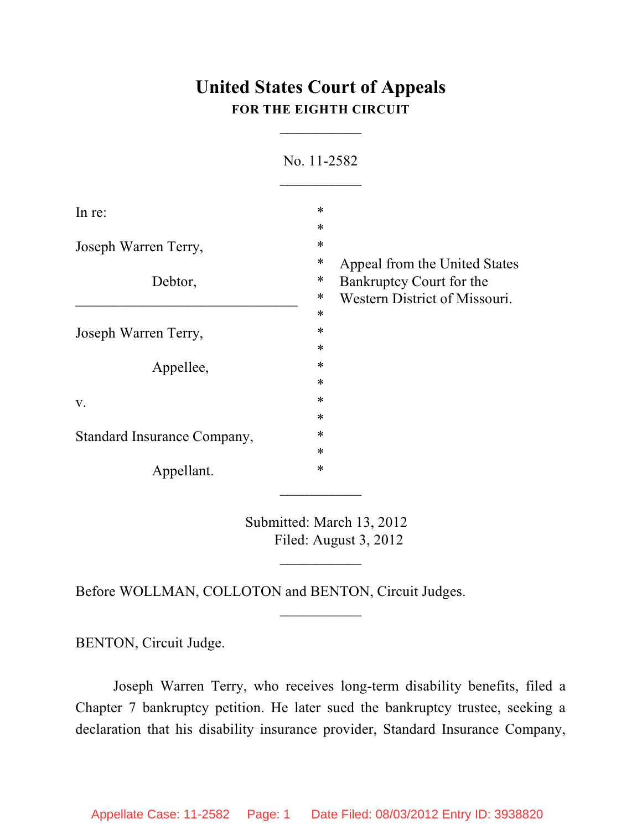## **United States Court of Appeals FOR THE EIGHTH CIRCUIT**

 $\overline{\phantom{a}}$ 

| In re:                      | $\ast$                             |
|-----------------------------|------------------------------------|
|                             | $\ast$                             |
| Joseph Warren Terry,        | $\ast$                             |
|                             | ∗<br>Appeal from the United States |
| Debtor,                     | ∗<br>Bankruptcy Court for the      |
|                             | ∗<br>Western District of Missouri. |
|                             | $\ast$                             |
| Joseph Warren Terry,        | *                                  |
|                             | $\ast$                             |
| Appellee,                   | $\ast$                             |
|                             | $\ast$                             |
| V.                          | $\ast$                             |
|                             | $\ast$                             |
| Standard Insurance Company, | ∗                                  |
|                             | $\ast$                             |
| Appellant.                  | $\ast$                             |

No. 11-2582

Submitted: March 13, 2012 Filed: August 3, 2012

 $\overline{\phantom{a}}$ 

 $\frac{1}{2}$ 

Before WOLLMAN, COLLOTON and BENTON, Circuit Judges.

BENTON, Circuit Judge.

Joseph Warren Terry, who receives long-term disability benefits, filed a Chapter 7 bankruptcy petition. He later sued the bankruptcy trustee, seeking a declaration that his disability insurance provider, Standard Insurance Company,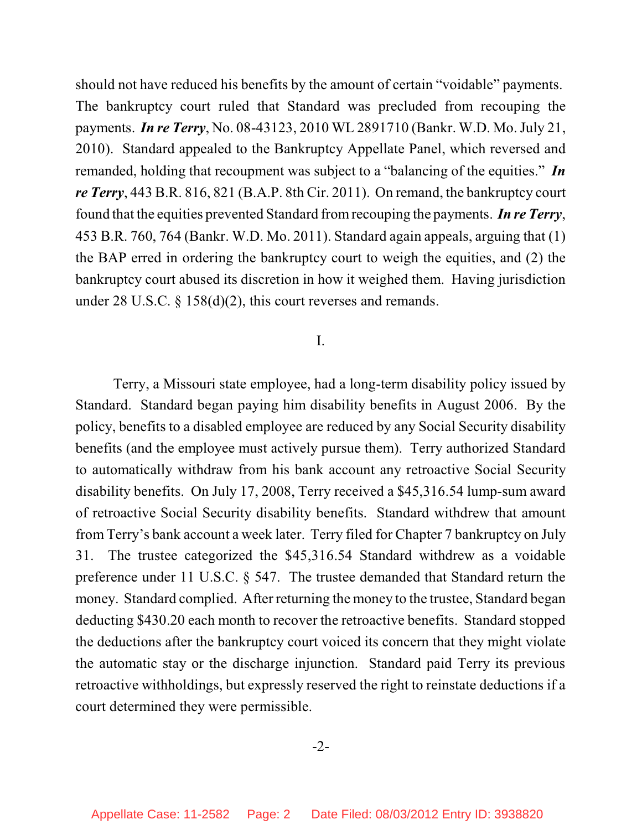should not have reduced his benefits by the amount of certain "voidable" payments. The bankruptcy court ruled that Standard was precluded from recouping the payments. *In re Terry*, No. 08-43123, 2010 WL 2891710 (Bankr. W.D. Mo. July 21, 2010). Standard appealed to the Bankruptcy Appellate Panel, which reversed and remanded, holding that recoupment was subject to a "balancing of the equities." *In re Terry*, 443 B.R. 816, 821 (B.A.P. 8th Cir. 2011). On remand, the bankruptcy court found that the equities prevented Standard fromrecouping the payments. *In re Terry*, 453 B.R. 760, 764 (Bankr. W.D. Mo. 2011). Standard again appeals, arguing that (1) the BAP erred in ordering the bankruptcy court to weigh the equities, and (2) the bankruptcy court abused its discretion in how it weighed them. Having jurisdiction under 28 U.S.C. § 158(d)(2), this court reverses and remands.

## I.

Terry, a Missouri state employee, had a long-term disability policy issued by Standard. Standard began paying him disability benefits in August 2006. By the policy, benefits to a disabled employee are reduced by any Social Security disability benefits (and the employee must actively pursue them). Terry authorized Standard to automatically withdraw from his bank account any retroactive Social Security disability benefits. On July 17, 2008, Terry received a \$45,316.54 lump-sum award of retroactive Social Security disability benefits. Standard withdrew that amount from Terry's bank account a week later. Terry filed for Chapter 7 bankruptcy on July 31. The trustee categorized the \$45,316.54 Standard withdrew as a voidable preference under 11 U.S.C. § 547. The trustee demanded that Standard return the money. Standard complied. After returning the money to the trustee, Standard began deducting \$430.20 each month to recover the retroactive benefits. Standard stopped the deductions after the bankruptcy court voiced its concern that they might violate the automatic stay or the discharge injunction. Standard paid Terry its previous retroactive withholdings, but expressly reserved the right to reinstate deductions if a court determined they were permissible.

## -2-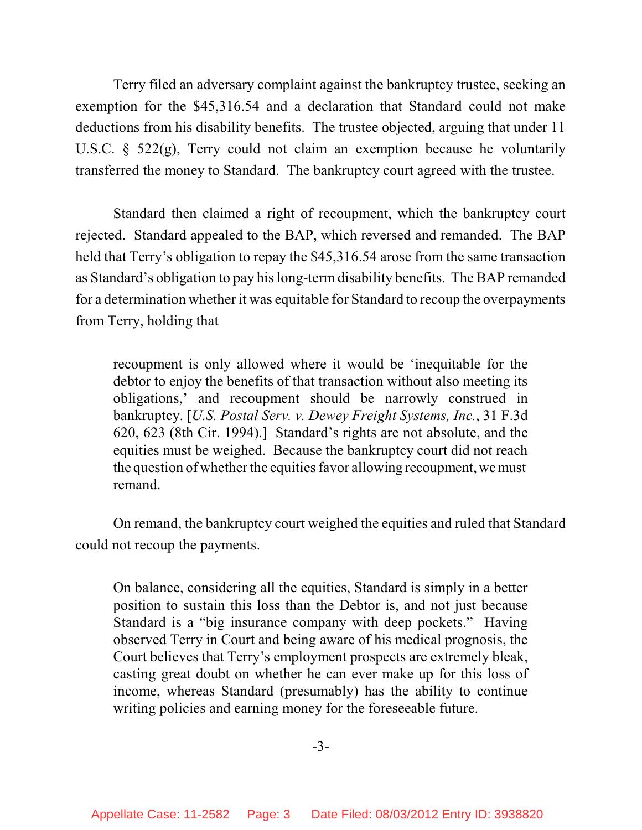Terry filed an adversary complaint against the bankruptcy trustee, seeking an exemption for the \$45,316.54 and a declaration that Standard could not make deductions from his disability benefits. The trustee objected, arguing that under 11 U.S.C. § 522(g), Terry could not claim an exemption because he voluntarily transferred the money to Standard. The bankruptcy court agreed with the trustee.

Standard then claimed a right of recoupment, which the bankruptcy court rejected. Standard appealed to the BAP, which reversed and remanded. The BAP held that Terry's obligation to repay the \$45,316.54 arose from the same transaction as Standard's obligation to pay his long-term disability benefits. The BAP remanded for a determination whether it was equitable for Standard to recoup the overpayments from Terry, holding that

recoupment is only allowed where it would be 'inequitable for the debtor to enjoy the benefits of that transaction without also meeting its obligations,' and recoupment should be narrowly construed in bankruptcy. [*U.S. Postal Serv. v. Dewey Freight Systems, Inc.*, 31 F.3d 620, 623 (8th Cir. 1994).] Standard's rights are not absolute, and the equities must be weighed. Because the bankruptcy court did not reach the question of whether the equities favor allowing recoupment, we must remand.

On remand, the bankruptcy court weighed the equities and ruled that Standard could not recoup the payments.

On balance, considering all the equities, Standard is simply in a better position to sustain this loss than the Debtor is, and not just because Standard is a "big insurance company with deep pockets." Having observed Terry in Court and being aware of his medical prognosis, the Court believes that Terry's employment prospects are extremely bleak, casting great doubt on whether he can ever make up for this loss of income, whereas Standard (presumably) has the ability to continue writing policies and earning money for the foreseeable future.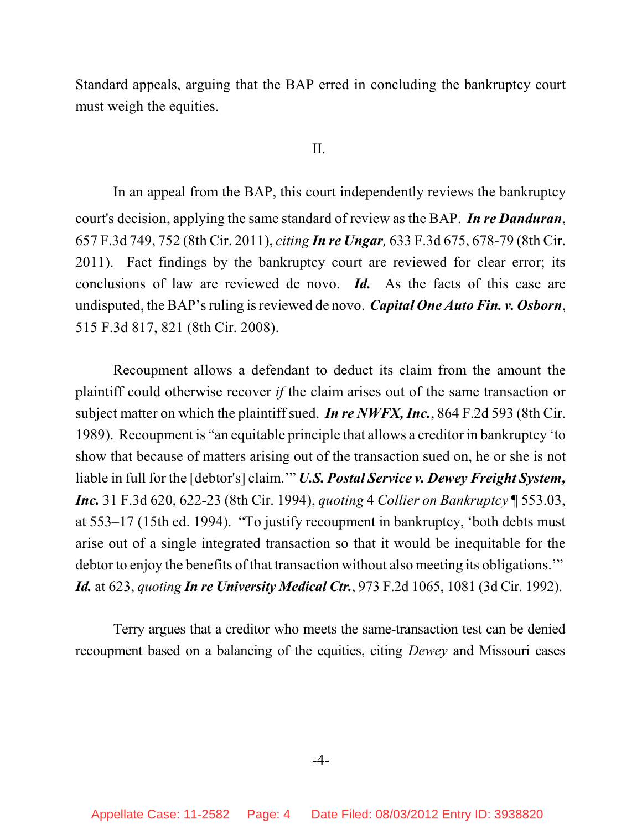Standard appeals, arguing that the BAP erred in concluding the bankruptcy court must weigh the equities.

## II.

In an appeal from the BAP, this court independently reviews the bankruptcy court's decision, applying the same standard of review as the BAP. *In re Danduran*, 657 F.3d 749, 752 (8th Cir. 2011), *citing In re Ungar,* 633 F.3d 675, 678-79 (8th Cir. 2011). Fact findings by the bankruptcy court are reviewed for clear error; its conclusions of law are reviewed de novo. *Id.* As the facts of this case are undisputed, the BAP's ruling isreviewed de novo. *Capital One Auto Fin. v. Osborn*, 515 F.3d 817, 821 (8th Cir. 2008).

Recoupment allows a defendant to deduct its claim from the amount the plaintiff could otherwise recover *if* the claim arises out of the same transaction or subject matter on which the plaintiff sued. *In re NWFX, Inc.*, 864 F.2d 593 (8th Cir. 1989). Recoupment is "an equitable principle that allows a creditor in bankruptcy 'to show that because of matters arising out of the transaction sued on, he or she is not liable in full for the [debtor's] claim.'" *U.S. Postal Service v. Dewey Freight System, Inc.* 31 F.3d 620, 622-23 (8th Cir. 1994), *quoting* 4 *Collier on Bankruptcy* ¶ 553.03, at 553–17 (15th ed. 1994). "To justify recoupment in bankruptcy, 'both debts must arise out of a single integrated transaction so that it would be inequitable for the debtor to enjoy the benefits of that transaction without also meeting its obligations." *Id.* at 623, *quoting In re University Medical Ctr.*, 973 F.2d 1065, 1081 (3d Cir. 1992).

Terry argues that a creditor who meets the same-transaction test can be denied recoupment based on a balancing of the equities, citing *Dewey* and Missouri cases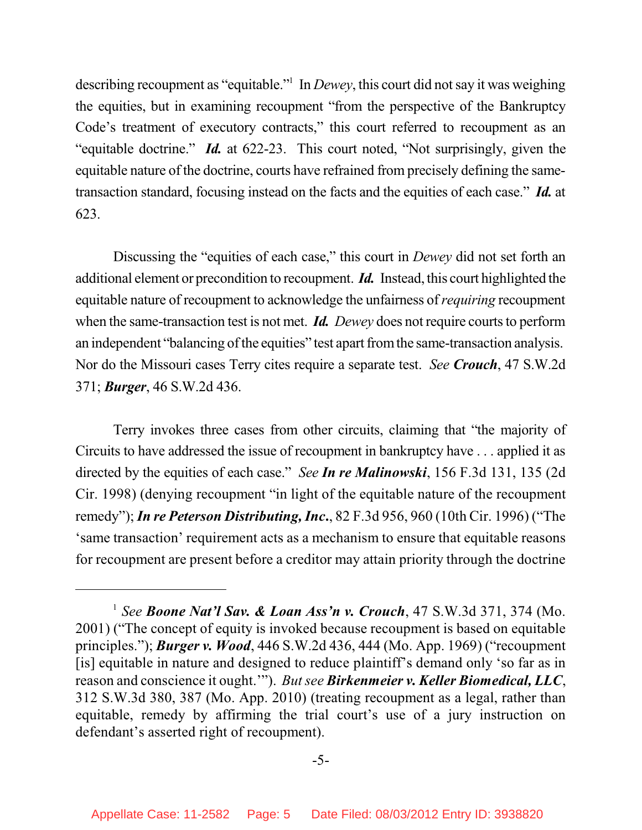describing recoupment as "equitable."<sup>1</sup> In *Dewey*, this court did not say it was weighing the equities, but in examining recoupment "from the perspective of the Bankruptcy Code's treatment of executory contracts," this court referred to recoupment as an "equitable doctrine." *Id.* at 622-23. This court noted, "Not surprisingly, given the equitable nature of the doctrine, courts have refrained from precisely defining the sametransaction standard, focusing instead on the facts and the equities of each case." *Id.* at 623.

Discussing the "equities of each case," this court in *Dewey* did not set forth an additional element or precondition to recoupment. *Id.* Instead, this court highlighted the equitable nature of recoupment to acknowledge the unfairness of*requiring* recoupment when the same-transaction test is not met. *Id.* Dewey does not require courts to perform an independent "balancing of the equities" test apart from the same-transaction analysis. Nor do the Missouri cases Terry cites require a separate test. *See Crouch*, 47 S.W.2d 371; *Burger*, 46 S.W.2d 436.

Terry invokes three cases from other circuits, claiming that "the majority of Circuits to have addressed the issue of recoupment in bankruptcy have . . . applied it as directed by the equities of each case." *See In re Malinowski*, 156 F.3d 131, 135 (2d Cir. 1998) (denying recoupment "in light of the equitable nature of the recoupment remedy");*In re Peterson Distributing, Inc***.**, 82 F.3d 956, 960 (10th Cir. 1996) ("The 'same transaction' requirement acts as a mechanism to ensure that equitable reasons for recoupment are present before a creditor may attain priority through the doctrine

*See Boone Nat'l Sav. & Loan Ass'n v. Crouch*, 47 S.W.3d 371, 374 (Mo. 1 2001) ("The concept of equity is invoked because recoupment is based on equitable principles."); *Burger v. Wood*, 446 S.W.2d 436, 444 (Mo. App. 1969) ("recoupment [is] equitable in nature and designed to reduce plaintiff's demand only 'so far as in reason and conscience it ought.'"). *Butsee Birkenmeier v. Keller Biomedical, LLC*, 312 S.W.3d 380, 387 (Mo. App. 2010) (treating recoupment as a legal, rather than equitable, remedy by affirming the trial court's use of a jury instruction on defendant's asserted right of recoupment).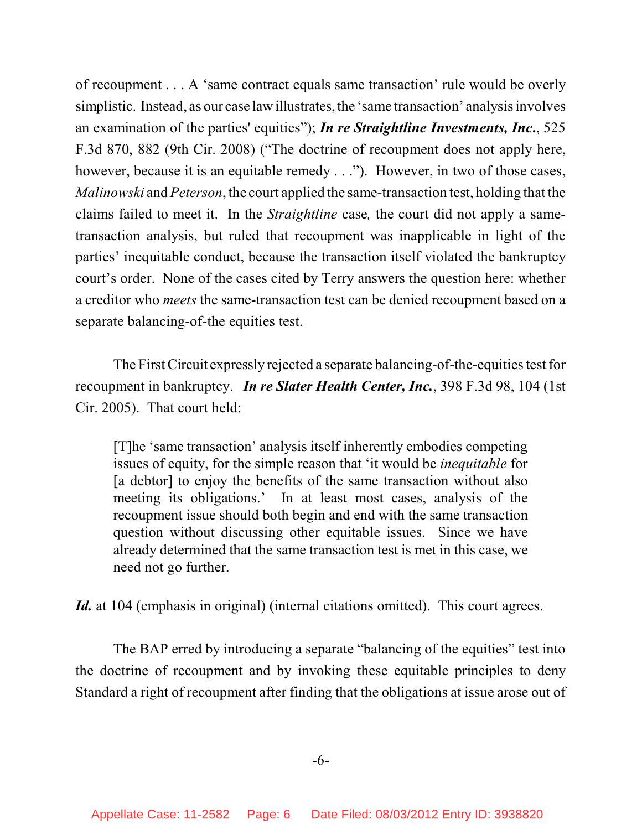of recoupment . . . A 'same contract equals same transaction' rule would be overly simplistic. Instead, as our case law illustrates, the 'same transaction' analysis involves an examination of the parties' equities"); *In re Straightline Investments, Inc***.**, 525 F.3d 870, 882 (9th Cir. 2008) ("The doctrine of recoupment does not apply here, however, because it is an equitable remedy . . ."). However, in two of those cases, *Malinowski* and *Peterson*, the court applied the same-transaction test, holding that the claims failed to meet it. In the *Straightline* case*,* the court did not apply a sametransaction analysis, but ruled that recoupment was inapplicable in light of the parties' inequitable conduct, because the transaction itself violated the bankruptcy court's order. None of the cases cited by Terry answers the question here: whether a creditor who *meets* the same-transaction test can be denied recoupment based on a separate balancing-of-the equities test.

The First Circuit expressly rejected a separate balancing-of-the-equities test for recoupment in bankruptcy. *In re Slater Health Center, Inc.*, 398 F.3d 98, 104 (1st Cir. 2005). That court held:

[T]he 'same transaction' analysis itself inherently embodies competing issues of equity, for the simple reason that 'it would be *inequitable* for [a debtor] to enjoy the benefits of the same transaction without also meeting its obligations.' In at least most cases, analysis of the recoupment issue should both begin and end with the same transaction question without discussing other equitable issues. Since we have already determined that the same transaction test is met in this case, we need not go further.

*Id.* at 104 (emphasis in original) (internal citations omitted). This court agrees.

The BAP erred by introducing a separate "balancing of the equities" test into the doctrine of recoupment and by invoking these equitable principles to deny Standard a right of recoupment after finding that the obligations at issue arose out of